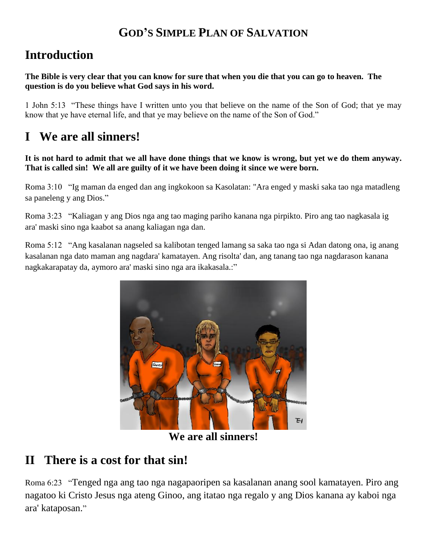#### **GOD'S SIMPLE PLAN OF SALVATION**

## **Introduction**

**The Bible is very clear that you can know for sure that when you die that you can go to heaven. The question is do you believe what God says in his word.**

1 John 5:13 "These things have I written unto you that believe on the name of the Son of God; that ye may know that ye have eternal life, and that ye may believe on the name of the Son of God."

#### **I We are all sinners!**

**It is not hard to admit that we all have done things that we know is wrong, but yet we do them anyway. That is called sin! We all are guilty of it we have been doing it since we were born.**

Roma 3:10 "Ig maman da enged dan ang ingkokoon sa Kasolatan: "Ara enged y maski saka tao nga matadleng sa paneleng y ang Dios."

Roma 3:23 "Kaliagan y ang Dios nga ang tao maging pariho kanana nga pirpikto. Piro ang tao nagkasala ig ara' maski sino nga kaabot sa anang kaliagan nga dan.

Roma 5:12 "Ang kasalanan nagseled sa kalibotan tenged lamang sa saka tao nga si Adan datong ona, ig anang kasalanan nga dato maman ang nagdara' kamatayen. Ang risolta' dan, ang tanang tao nga nagdarason kanana nagkakarapatay da, aymoro ara' maski sino nga ara ikakasala.:"



**We are all sinners!**

## **II There is a cost for that sin!**

Roma 6:23 "Tenged nga ang tao nga nagapaoripen sa kasalanan anang sool kamatayen. Piro ang nagatoo ki Cristo Jesus nga ateng Ginoo, ang itatao nga regalo y ang Dios kanana ay kaboi nga ara' kataposan."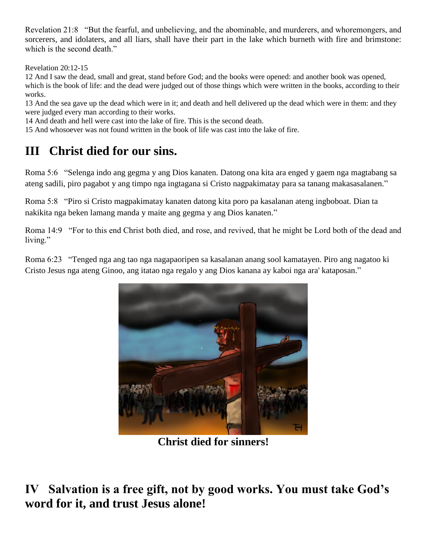Revelation 21:8 "But the fearful, and unbelieving, and the abominable, and murderers, and whoremongers, and sorcerers, and idolaters, and all liars, shall have their part in the lake which burneth with fire and brimstone: which is the second death."

Revelation 20:12-15

12 And I saw the dead, small and great, stand before God; and the books were opened: and another book was opened, which is the book of life: and the dead were judged out of those things which were written in the books, according to their works.

13 And the sea gave up the dead which were in it; and death and hell delivered up the dead which were in them: and they were judged every man according to their works.

14 And death and hell were cast into the lake of fire. This is the second death.

15 And whosoever was not found written in the book of life was cast into the lake of fire.

# **III Christ died for our sins.**

Roma 5:6 "Selenga indo ang gegma y ang Dios kanaten. Datong ona kita ara enged y gaem nga magtabang sa ateng sadili, piro pagabot y ang timpo nga ingtagana si Cristo nagpakimatay para sa tanang makasasalanen."

Roma 5:8 "Piro si Cristo magpakimatay kanaten datong kita poro pa kasalanan ateng ingboboat. Dian ta nakikita nga beken lamang manda y maite ang gegma y ang Dios kanaten."

Roma 14:9 "For to this end Christ both died, and rose, and revived, that he might be Lord both of the dead and living."

Roma 6:23 "Tenged nga ang tao nga nagapaoripen sa kasalanan anang sool kamatayen. Piro ang nagatoo ki Cristo Jesus nga ateng Ginoo, ang itatao nga regalo y ang Dios kanana ay kaboi nga ara' kataposan."



**Christ died for sinners!**

**IV Salvation is a free gift, not by good works. You must take God's word for it, and trust Jesus alone!**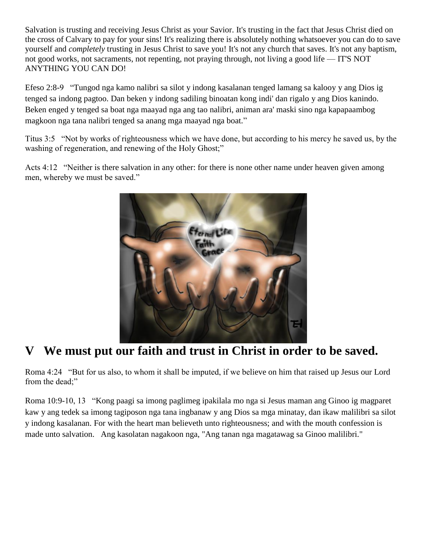Salvation is trusting and receiving Jesus Christ as your Savior. It's trusting in the fact that Jesus Christ died on the cross of Calvary to pay for your sins! It's realizing there is absolutely nothing whatsoever you can do to save yourself and *completely* trusting in Jesus Christ to save you! It's not any church that saves. It's not any baptism, not good works, not sacraments, not repenting, not praying through, not living a good life — IT'S NOT ANYTHING YOU CAN DO!

Efeso 2:8-9 "Tungod nga kamo nalibri sa silot y indong kasalanan tenged lamang sa kalooy y ang Dios ig tenged sa indong pagtoo. Dan beken y indong sadiling binoatan kong indi' dan rigalo y ang Dios kanindo. Beken enged y tenged sa boat nga maayad nga ang tao nalibri, animan ara' maski sino nga kapapaambog magkoon nga tana nalibri tenged sa anang mga maayad nga boat."

Titus 3:5 "Not by works of righteousness which we have done, but according to his mercy he saved us, by the washing of regeneration, and renewing of the Holy Ghost;"

Acts 4:12 "Neither is there salvation in any other: for there is none other name under heaven given among men, whereby we must be saved."



## **V We must put our faith and trust in Christ in order to be saved.**

Roma 4:24 "But for us also, to whom it shall be imputed, if we believe on him that raised up Jesus our Lord from the dead;"

Roma 10:9-10, 13 "Kong paagi sa imong paglimeg ipakilala mo nga si Jesus maman ang Ginoo ig magparet kaw y ang tedek sa imong tagiposon nga tana ingbanaw y ang Dios sa mga minatay, dan ikaw malilibri sa silot y indong kasalanan. For with the heart man believeth unto righteousness; and with the mouth confession is made unto salvation. Ang kasolatan nagakoon nga, "Ang tanan nga magatawag sa Ginoo malilibri."